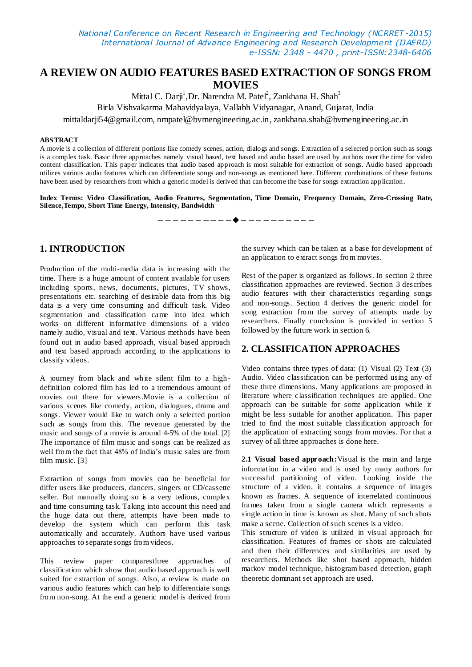*National Conference on Recent Research in Engineering and Technology (NCRRET -2015) International Journal of Advance Engineering and Research Development (IJAERD) e-ISSN: 2348 - 4470 , print-ISSN:2348-6406*

# **A REVIEW ON AUDIO FEATURES BASED EXTRACTION OF SONGS FROM MOVIES**

Mittal C. Darji<sup>1</sup>,Dr. Narendra M. Patel<sup>2</sup>, Zankhana H. Shah<sup>3</sup> Birla Vishvakarma Mahavidyalaya, Vallabh Vidyanagar, Anand, Gujarat, India mittaldarji54@gmail.com, nmpatel@bvmengineering.ac.in, zankhana.shah@bvmengineering.ac.in

#### **ABSTRACT**

A movie is a collection of different portions like comedy scenes, action, dialogs and songs. Extraction of a selected portion such as songs is a complex task. Basic three approaches namely visual based, text based and audio based are used by authors over the time for video content classification. This paper indicates that audio based approach is most suitable for extraction of songs. Audio based approach utilizes various audio features which can differentiate songs and non-songs as mentioned here. Different combinations of these features have been used by researchers from which a generic model is derived that can become the base for songs extraction application.

**Index Terms: Video Classification, Audio Features, Segmentation, Time Domain, Frequency Domain, Zero-Crossing Rate, Silence,Tempo, Short Time Energy, Intensity, Bandwidth**

———*——————*—————————

## **1. INTRODUCTION**

Production of the multi-media data is increasing with the time. There is a huge amount of content available for users including sports, news, documents, pictures, TV shows, presentations etc. searching of desirable data from this big data is a very time consuming and difficult task. Video segmentation and classification came into idea which works on different informative dimensions of a video namely audio, visual and text. Various methods have been found out in audio based approach, visual based approach and text based approach according to the applications to classify videos.

A journey from black and white silent film to a highdefinition colored film has led to a tremendous amount of movies out there for viewers.Movie is a collection of various scenes like comedy, action, dialogues, drama and songs. Viewer would like to watch only a selected portion such as songs from this. The revenue generated by the music and songs of a movie is around 4-5% of the total. [2] The importance of film music and songs can be realized as well from the fact that 48% of India's music sales are from film music. [3]

Extraction of songs from movies can be beneficial for differ users like producers, dancers, singers or CD/cassette seller. But manually doing so is a very tedious, complex and time consuming task. Taking into account this need and the huge data out there, attempts have been made to develop the system which can perform this task automatically and accurately. Authors have used various approaches to separate songs from videos.

This review paper comparesthree approaches of classification which show that audio based approach is well suited for extraction of songs. Also, a review is made on various audio features which can help to differentiate songs from non-song. At the end a generic model is derived from

the survey which can be taken as a base for development of an application to extract songs from movies.

Rest of the paper is organized as follows. In section 2 three classification approaches are reviewed. Section 3 describes audio features with their characteristics regarding songs and non-songs. Section 4 derives the generic model for song extraction from the survey of attempts made by researchers. Finally conclusion is provided in section 5 followed by the future work in section 6.

### **2. CLASSIFICATION APPROACHES**

Video contains three types of data: (1) Visual (2) Text (3) Audio. Video classification can be performed using any of these three dimensions. Many applications are proposed in literature where classification techniques are applied. One approach can be suitable for some application while it might be less suitable for another application. This paper tried to find the most suitable classification approach for the application of extracting songs from movies. For that a survey of all three approaches is done here.

**2.1 Visual based approach:**Visual is the main and large information in a video and is used by many authors for successful partitioning of video. Looking inside the structure of a video, it contains a sequence of images known as frames. A sequence of interrelated continuous frames taken from a single camera which represents a single action in time is known as shot. Many of such shots make a scene. Collection of such scenes is a video.

This structure of video is utilized in visual approach for classification. Features of frames or shots are calculated and then their differences and similarities are used by researchers. Methods like shot based approach, hidden markov model technique, histogram based detection, graph theoretic dominant set approach are used.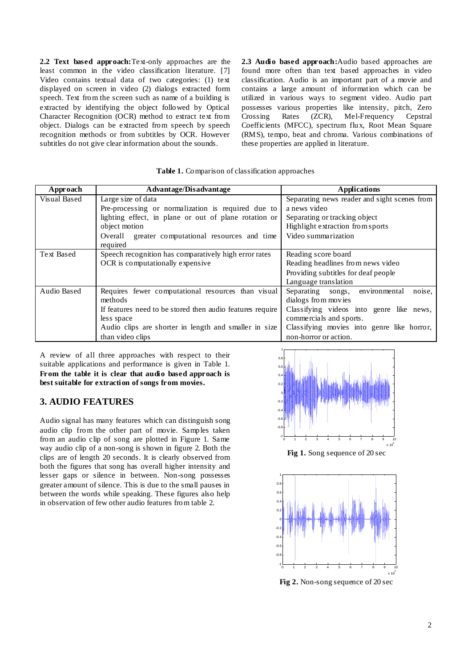**2.2 Text based approach:**Text-only approaches are the least common in the video classification literature. [7] Video contains textual data of two categories: (1) text displayed on screen in video (2) dialogs extracted form speech. Text from the screen such as name of a building is extracted by identifying the object followed by Optical Character Recognition (OCR) method to extract text from object. Dialogs can be extracted from speech by speech recognition methods or from subtitles by OCR. However subtitles do not give clear information about the sounds.

**2.3 Audio based approach:**Audio based approaches are found more often than text based approaches in video classification. Audio is an important part of a movie and contains a large amount of information which can be utilized in various ways to segment video. Audio part possesses various properties like intensity, pitch, Zero<br>Crossing Rates (ZCR), Mel-Frequency Cepstral Mel-Frequency Coefficients (MFCC), spectrum flux, Root Mean Square (RMS), tempo, beat and chroma. Various combinations of these properties are applied in literature.

#### **Table 1.** Comparison of classification approaches

| Approach     | Advantage/Disadvantage                                    | <b>Applications</b>                                     |  |
|--------------|-----------------------------------------------------------|---------------------------------------------------------|--|
| Visual Based | Large size of data                                        | Separating news reader and sight scenes from            |  |
|              | Pre-processing or normalization is required due to        | a news video                                            |  |
|              | lighting effect, in plane or out of plane rotation or     | Separating or tracking object                           |  |
|              | object motion                                             | Highlight extraction from sports<br>Video summarization |  |
|              | Overall greater computational resources and time          |                                                         |  |
|              | required                                                  |                                                         |  |
| Text Based   | Speech recognition has comparatively high error rates     | Reading score board                                     |  |
|              | OCR is computationally expensive                          | Reading headlines from news video                       |  |
|              |                                                           | Providing subtitles for deaf people                     |  |
|              |                                                           | Language translation                                    |  |
| Audio Based  | Requires fewer computational resources than visual        | Separating songs, environmental<br>noise,               |  |
|              | methods                                                   | dialogs from movies                                     |  |
|              | If features need to be stored then audio features require | Classifying videos into genre like news,                |  |
|              | less space                                                | commercials and sports.                                 |  |
|              | Audio clips are shorter in length and smaller in size     | Classifying movies into genre like horror,              |  |
|              | than video clips                                          | non-horror or action.                                   |  |

A review of all three approaches with respect to their suitable applications and performance is given in Table 1. **From the table it is clear that audio based approach is best suitable for extraction of songs from movies.**

## **3. AUDIO FEATURES**

Audio signal has many features which can distinguish song audio clip from the other part of movie. Samples taken from an audio clip of song are plotted in Figure 1. Same way audio clip of a non-song is shown in figure 2. Both the clips are of length 20 seconds. It is clearly observed from both the figures that song has overall higher intensity and lesser gaps or silence in between. Non-song possesses greater amount of silence. This is due to the small pauses in between the words while speaking. These figures also help in observation of few other audio features from table 2.



**Fig 1.** Song sequence of 20 sec



**Fig 2.** Non-song sequence of 20 sec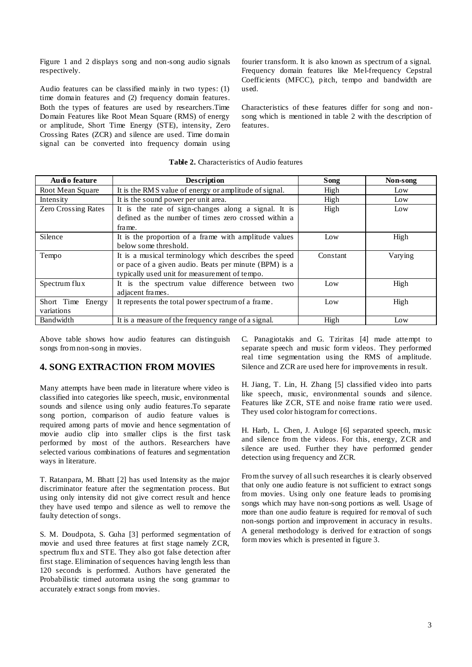Figure 1 and 2 displays song and non-song audio signals respectively.

Audio features can be classified mainly in two types: (1) time domain features and (2) frequency domain features. Both the types of features are used by researchers.Time Domain Features like Root Mean Square (RMS) of energy or amplitude, Short Time Energy (STE), intensity, Zero Crossing Rates (ZCR) and silence are used. Time domain signal can be converted into frequency domain using

fourier transform. It is also known as spectrum of a signal. Frequency domain features like Mel-frequency Cepstral Coefficients (MFCC), pitch, tempo and bandwidth are used.

Characteristics of these features differ for song and nonsong which is mentioned in table 2 with the description of features.

| Audio feature                      | Description                                                                                                                                                     | Song     | Non-song |
|------------------------------------|-----------------------------------------------------------------------------------------------------------------------------------------------------------------|----------|----------|
| Root Mean Square                   | It is the RMS value of energy or amplitude of signal.                                                                                                           | High     | Low      |
| Intensity                          | It is the sound power per unit area.                                                                                                                            | High     | Low      |
| <b>Zero Crossing Rates</b>         | It is the rate of sign-changes along a signal. It is<br>defined as the number of times zero crossed within a<br>frame.                                          | High     | Low      |
| Silence                            | It is the proportion of a frame with amplitude values<br>below some threshold.                                                                                  | Low      | High     |
| Tempo                              | It is a musical terminology which describes the speed<br>or pace of a given audio. Beats per minute (BPM) is a<br>typically used unit for measurement of tempo. | Constant | Varying  |
| Spectrum flux                      | It is the spectrum value difference between two<br>adjacent frames.                                                                                             | Low      | High     |
| Short Time<br>Energy<br>variations | It represents the total power spectrum of a frame.                                                                                                              | Low      | High     |
| Bandwidth                          | It is a measure of the frequency range of a signal.                                                                                                             | High     | Low      |

**Table 2.** Characteristics of Audio features

Above table shows how audio features can distinguish songs from non-song in movies.

### **4. SONG EXTRACTION FROM MOVIES**

Many attempts have been made in literature where video is classified into categories like speech, music, environmental sounds and silence using only audio features.To separate song portion, comparison of audio feature values is required among parts of movie and hence segmentation of movie audio clip into smaller clips is the first task performed by most of the authors. Researchers have selected various combinations of features and segmentation ways in literature.

T. Ratanpara, M. Bhatt [2] has used Intensity as the major discriminator feature after the segmentation process. But using only intensity did not give correct result and hence they have used tempo and silence as well to remove the faulty detection of songs.

S. M. Doudpota, S. Guha [3] performed segmentation of movie and used three features at first stage namely ZCR, spectrum flux and STE. They also got false detection after first stage. Elimination of sequences having length less than 120 seconds is performed. Authors have generated the Probabilistic timed automata using the song grammar to accurately extract songs from movies.

C. Panagiotakis and G. Tziritas [4] made attempt to separate speech and music form videos. They performed real time segmentation using the RMS of amplitude. Silence and ZCR are used here for improvements in result.

H. Jiang, T. Lin, H. Zhang [5] classified video into parts like speech, music, environmental sounds and silence. Features like ZCR, STE and noise frame ratio were used. They used color histogram for corrections.

H. Harb, L. Chen, J. Auloge [6] separated speech, music and silence from the videos. For this, energy, ZCR and silence are used. Further they have performed gender detection using frequency and ZCR.

From the survey of all such researches it is clearly observed that only one audio feature is not sufficient to extract songs from movies. Using only one feature leads to promising songs which may have non-song portions as well. Usage of more than one audio feature is required for removal of such non-songs portion and improvement in accuracy in results. A general methodology is derived for extraction of songs form movies which is presented in figure 3.